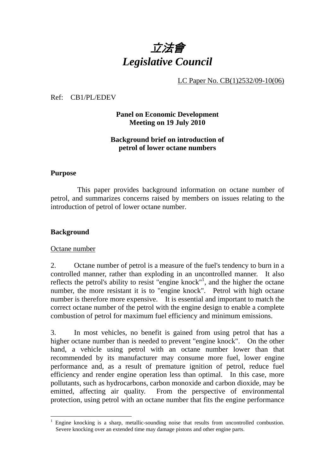

LC Paper No. CB(1)2532/09-10(06)

Ref: CB1/PL/EDEV

## **Panel on Economic Development Meeting on 19 July 2010**

#### **Background brief on introduction of petrol of lower octane numbers**

#### **Purpose**

 This paper provides background information on octane number of petrol, and summarizes concerns raised by members on issues relating to the introduction of petrol of lower octane number.

#### **Background**

#### Octane number

2. Octane number of petrol is a measure of the fuel's tendency to burn in a controlled manner, rather than exploding in an uncontrolled manner. It also reflects the petrol's ability to resist "engine knock"<sup>1</sup>, and the higher the octane number, the more resistant it is to "engine knock". Petrol with high octane number is therefore more expensive. It is essential and important to match the correct octane number of the petrol with the engine design to enable a complete combustion of petrol for maximum fuel efficiency and minimum emissions.

3. In most vehicles, no benefit is gained from using petrol that has a higher octane number than is needed to prevent "engine knock". On the other hand, a vehicle using petrol with an octane number lower than that recommended by its manufacturer may consume more fuel, lower engine performance and, as a result of premature ignition of petrol, reduce fuel efficiency and render engine operation less than optimal. In this case, more pollutants, such as hydrocarbons, carbon monoxide and carbon dioxide, may be emitted, affecting air quality. From the perspective of environmental protection, using petrol with an octane number that fits the engine performance

<sup>&</sup>lt;u>.</u> <sup>1</sup> Engine knocking is a sharp, metallic-sounding noise that results from uncontrolled combustion. Severe knocking over an extended time may damage pistons and other engine parts.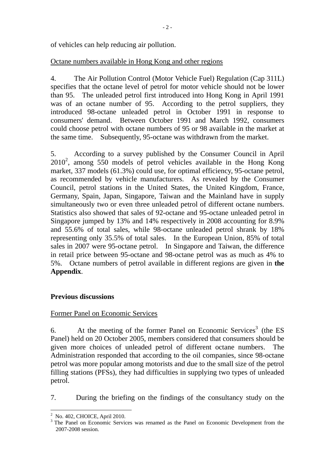of vehicles can help reducing air pollution.

## Octane numbers available in Hong Kong and other regions

4. The Air Pollution Control (Motor Vehicle Fuel) Regulation (Cap 311L) specifies that the octane level of petrol for motor vehicle should not be lower than 95. The unleaded petrol first introduced into Hong Kong in April 1991 was of an octane number of 95. According to the petrol suppliers, they introduced 98-octane unleaded petrol in October 1991 in response to consumers' demand. Between October 1991 and March 1992, consumers could choose petrol with octane numbers of 95 or 98 available in the market at the same time. Subsequently, 95-octane was withdrawn from the market.

5. According to a survey published by the Consumer Council in April 2010<sup>2</sup>, among 550 models of petrol vehicles available in the Hong Kong market, 337 models (61.3%) could use, for optimal efficiency, 95-octane petrol, as recommended by vehicle manufacturers. As revealed by the Consumer Council, petrol stations in the United States, the United Kingdom, France, Germany, Spain, Japan, Singapore, Taiwan and the Mainland have in supply simultaneously two or even three unleaded petrol of different octane numbers. Statistics also showed that sales of 92-octane and 95-octane unleaded petrol in Singapore jumped by 13% and 14% respectively in 2008 accounting for 8.9% and 55.6% of total sales, while 98-octane unleaded petrol shrank by 18% representing only 35.5% of total sales. In the European Union, 85% of total sales in 2007 were 95-octane petrol. In Singapore and Taiwan, the difference in retail price between 95-octane and 98-octane petrol was as much as 4% to 5%. Octane numbers of petrol available in different regions are given in **the Appendix**.

## **Previous discussions**

## Former Panel on Economic Services

6. At the meeting of the former Panel on Economic Services<sup>3</sup> (the ES Panel) held on 20 October 2005, members considered that consumers should be given more choices of unleaded petrol of different octane numbers. The Administration responded that according to the oil companies, since 98-octane petrol was more popular among motorists and due to the small size of the petrol filling stations (PFSs), they had difficulties in supplying two types of unleaded petrol.

7. During the briefing on the findings of the consultancy study on the

1

<sup>&</sup>lt;sup>2</sup> No. 402, CHOICE, April 2010.

<sup>&</sup>lt;sup>3</sup> The Panel on Economic Services was renamed as the Panel on Economic Development from the 2007-2008 session.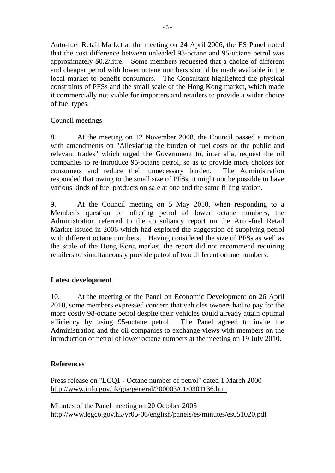Auto-fuel Retail Market at the meeting on 24 April 2006, the ES Panel noted that the cost difference between unleaded 98-octane and 95-octane petrol was approximately \$0.2/litre. Some members requested that a choice of different and cheaper petrol with lower octane numbers should be made available in the local market to benefit consumers. The Consultant highlighted the physical constraints of PFSs and the small scale of the Hong Kong market, which made it commercially not viable for importers and retailers to provide a wider choice of fuel types.

## Council meetings

8. At the meeting on 12 November 2008, the Council passed a motion with amendments on "Alleviating the burden of fuel costs on the public and relevant trades" which urged the Government to, inter alia, request the oil companies to re-introduce 95-octane petrol, so as to provide more choices for consumers and reduce their unnecessary burden. The Administration responded that owing to the small size of PFSs, it might not be possible to have various kinds of fuel products on sale at one and the same filling station.

9. At the Council meeting on 5 May 2010, when responding to a Member's question on offering petrol of lower octane numbers, the Administration referred to the consultancy report on the Auto-fuel Retail Market issued in 2006 which had explored the suggestion of supplying petrol with different octane numbers. Having considered the size of PFSs as well as the scale of the Hong Kong market, the report did not recommend requiring retailers to simultaneously provide petrol of two different octane numbers.

## **Latest development**

10. At the meeting of the Panel on Economic Development on 26 April 2010, some members expressed concern that vehicles owners had to pay for the more costly 98-octane petrol despite their vehicles could already attain optimal efficiency by using 95-octane petrol. The Panel agreed to invite the Administration and the oil companies to exchange views with members on the introduction of petrol of lower octane numbers at the meeting on 19 July 2010.

## **References**

Press release on "LCQ1 - Octane number of petrol" dated 1 March 2000 http://www.info.gov.hk/gia/general/200003/01/0301136.htm

Minutes of the Panel meeting on 20 October 2005 http://www.legco.gov.hk/yr05-06/english/panels/es/minutes/es051020.pdf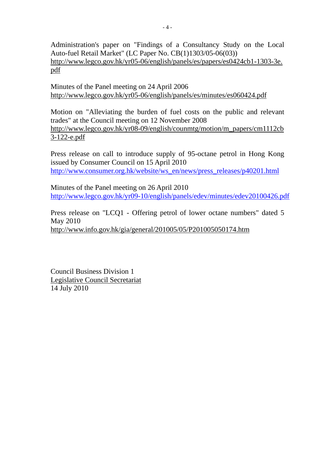Administration's paper on "Findings of a Consultancy Study on the Local Auto-fuel Retail Market" (LC Paper No. CB(1)1303/05-06(03)) http://www.legco.gov.hk/yr05-06/english/panels/es/papers/es0424cb1-1303-3e. pdf

Minutes of the Panel meeting on 24 April 2006 http://www.legco.gov.hk/yr05-06/english/panels/es/minutes/es060424.pdf

Motion on "Alleviating the burden of fuel costs on the public and relevant trades" at the Council meeting on 12 November 2008 http://www.legco.gov.hk/yr08-09/english/counmtg/motion/m\_papers/cm1112cb 3-122-e.pdf

Press release on call to introduce supply of 95-octane petrol in Hong Kong issued by Consumer Council on 15 April 2010 http://www.consumer.org.hk/website/ws\_en/news/press\_releases/p40201.html

Minutes of the Panel meeting on 26 April 2010 http://www.legco.gov.hk/yr09-10/english/panels/edev/minutes/edev20100426.pdf

Press release on "LCQ1 - Offering petrol of lower octane numbers" dated 5 May 2010 http://www.info.gov.hk/gia/general/201005/05/P201005050174.htm

Council Business Division 1 Legislative Council Secretariat 14 July 2010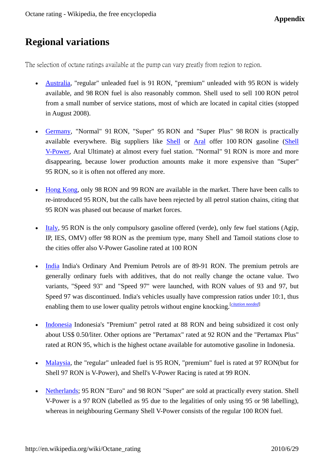# **Regional variations**

The selection of octane ratings available at the pump can vary greatly from region to region.

- Australia, "regular" unleaded fuel is 91 RON, "premium" unleaded with 95 RON is widely available, and 98 RON fuel is also reasonably common. Shell used to sell 100 RON petrol from a small number of service stations, most of which are located in capital cities (stopped in August 2008).
- Germany, "Normal" 91 RON, "Super" 95 RON and "Super Plus" 98 RON is practically available everywhere. Big suppliers like Shell or Aral offer 100 RON gasoline (Shell V-Power, Aral Ultimate) at almost every fuel station. "Normal" 91 RON is more and more disappearing, because lower production amounts make it more expensive than "Super" 95 RON, so it is often not offered any more.
- Hong Kong, only 98 RON and 99 RON are available in the market. There have been calls to re-introduced 95 RON, but the calls have been rejected by all petrol station chains, citing that 95 RON was phased out because of market forces.
- Italy, 95 RON is the only compulsory gasoline offered (verde), only few fuel stations (Agip, IP, IES, OMV) offer 98 RON as the premium type, many Shell and Tamoil stations close to the cities offer also V-Power Gasoline rated at 100 RON
- India India's Ordinary And Premium Petrols are of 89-91 RON. The premium petrols are generally ordinary fuels with additives, that do not really change the octane value. Two variants, "Speed 93" and "Speed 97" were launched, with RON values of 93 and 97, but Speed 97 was discontinued. India's vehicles usually have compression ratios under 10:1, thus enabling them to use lower quality petrols without engine knocking.<sup>[citation needed]</sup>
- Indonesia Indonesia's "Premium" petrol rated at 88 RON and being subsidized it cost only about US\$ 0.50/liter. Other options are "Pertamax" rated at 92 RON and the "Pertamax Plus" rated at RON 95, which is the highest octane available for automotive gasoline in Indonesia.
- Malaysia, the "regular" unleaded fuel is 95 RON, "premium" fuel is rated at 97 RON(but for Shell 97 RON is V-Power), and Shell's V-Power Racing is rated at 99 RON.
- Netherlands; 95 RON "Euro" and 98 RON "Super" are sold at practically every station. Shell V-Power is a 97 RON (labelled as 95 due to the legalities of only using 95 or 98 labelling), whereas in neighbouring Germany Shell V-Power consists of the regular 100 RON fuel.